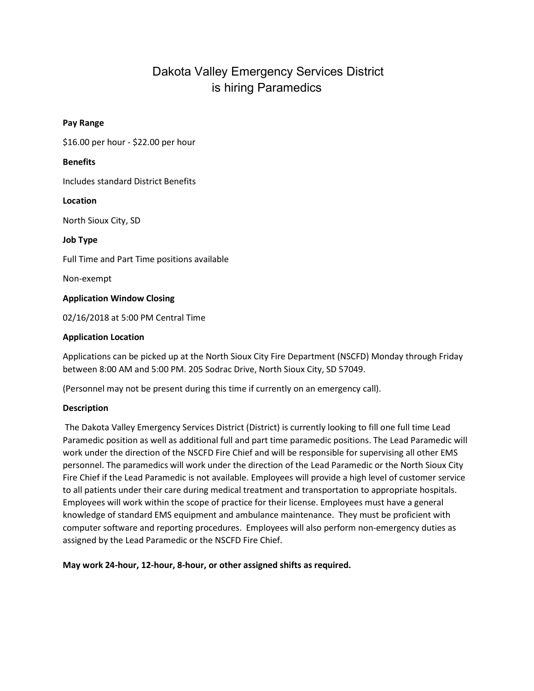# Dakota Valley Emergency Services District is hiring Paramedics

# Pay Range

\$16.00 per hour - \$22.00 per hour

## **Benefits**

Includes standard District Benefits

## Location

North Sioux City, SD

Job Type

Full Time and Part Time positions available

Non-exempt

# Application Window Closing

02/16/2018 at 5:00 PM Central Time

## Application Location

Applications can be picked up at the North Sioux City Fire Department (NSCFD) Monday through Friday between 8:00 AM and 5:00 PM. 205 Sodrac Drive, North Sioux City, SD 57049.

(Personnel may not be present during this time if currently on an emergency call).

# Description

 The Dakota Valley Emergency Services District (District) is currently looking to fill one full time Lead Paramedic position as well as additional full and part time paramedic positions. The Lead Paramedic will work under the direction of the NSCFD Fire Chief and will be responsible for supervising all other EMS personnel. The paramedics will work under the direction of the Lead Paramedic or the North Sioux City Fire Chief if the Lead Paramedic is not available. Employees will provide a high level of customer service to all patients under their care during medical treatment and transportation to appropriate hospitals. Employees will work within the scope of practice for their license. Employees must have a general knowledge of standard EMS equipment and ambulance maintenance. They must be proficient with computer software and reporting procedures. Employees will also perform non-emergency duties as assigned by the Lead Paramedic or the NSCFD Fire Chief.

May work 24-hour, 12-hour, 8-hour, or other assigned shifts as required.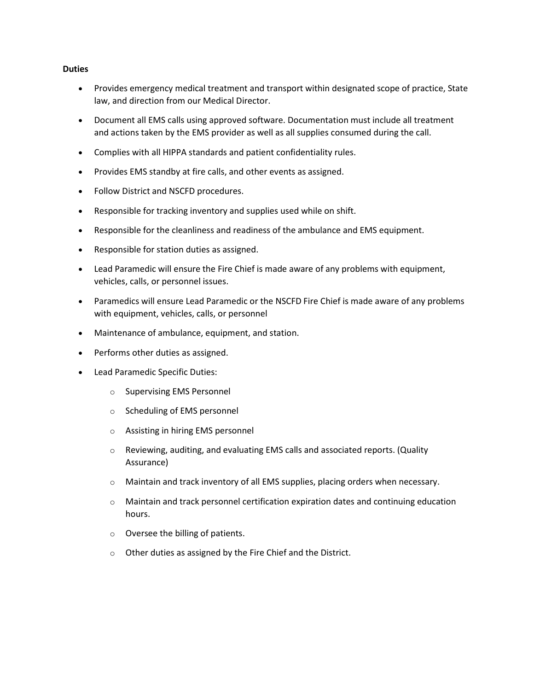#### **Duties**

- Provides emergency medical treatment and transport within designated scope of practice, State law, and direction from our Medical Director.
- Document all EMS calls using approved software. Documentation must include all treatment and actions taken by the EMS provider as well as all supplies consumed during the call.
- Complies with all HIPPA standards and patient confidentiality rules.
- Provides EMS standby at fire calls, and other events as assigned.
- Follow District and NSCFD procedures.
- Responsible for tracking inventory and supplies used while on shift.
- Responsible for the cleanliness and readiness of the ambulance and EMS equipment.
- Responsible for station duties as assigned.
- Lead Paramedic will ensure the Fire Chief is made aware of any problems with equipment, vehicles, calls, or personnel issues.
- Paramedics will ensure Lead Paramedic or the NSCFD Fire Chief is made aware of any problems with equipment, vehicles, calls, or personnel
- Maintenance of ambulance, equipment, and station.
- Performs other duties as assigned.
- Lead Paramedic Specific Duties:
	- o Supervising EMS Personnel
	- o Scheduling of EMS personnel
	- o Assisting in hiring EMS personnel
	- o Reviewing, auditing, and evaluating EMS calls and associated reports. (Quality Assurance)
	- o Maintain and track inventory of all EMS supplies, placing orders when necessary.
	- o Maintain and track personnel certification expiration dates and continuing education hours.
	- o Oversee the billing of patients.
	- o Other duties as assigned by the Fire Chief and the District.